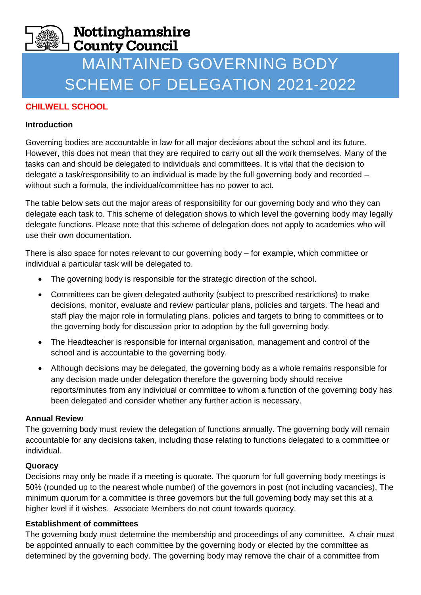# Nottinghamshire **County Council**

# MAINTAINED GOVERNING BODY SCHEME OF DELEGATION 2021-2022

## **CHILWELL SCHOOL**

#### **Introduction**

Governing bodies are accountable in law for all major decisions about the school and its future. However, this does not mean that they are required to carry out all the work themselves. Many of the tasks can and should be delegated to individuals and committees. It is vital that the decision to delegate a task/responsibility to an individual is made by the full governing body and recorded – without such a formula, the individual/committee has no power to act.

The table below sets out the major areas of responsibility for our governing body and who they can delegate each task to. This scheme of delegation shows to which level the governing body may legally delegate functions. Please note that this scheme of delegation does not apply to academies who will use their own documentation.

There is also space for notes relevant to our governing body – for example, which committee or individual a particular task will be delegated to.

- The governing body is responsible for the strategic direction of the school.
- Committees can be given delegated authority (subject to prescribed restrictions) to make decisions, monitor, evaluate and review particular plans, policies and targets. The head and staff play the major role in formulating plans, policies and targets to bring to committees or to the governing body for discussion prior to adoption by the full governing body.
- The Headteacher is responsible for internal organisation, management and control of the school and is accountable to the governing body.
- Although decisions may be delegated, the governing body as a whole remains responsible for any decision made under delegation therefore the governing body should receive reports/minutes from any individual or committee to whom a function of the governing body has been delegated and consider whether any further action is necessary.

#### **Annual Review**

The governing body must review the delegation of functions annually. The governing body will remain accountable for any decisions taken, including those relating to functions delegated to a committee or individual.

#### **Quoracy**

Decisions may only be made if a meeting is quorate. The quorum for full governing body meetings is 50% (rounded up to the nearest whole number) of the governors in post (not including vacancies). The minimum quorum for a committee is three governors but the full governing body may set this at a higher level if it wishes. Associate Members do not count towards quoracy.

#### **Establishment of committees**

The governing body must determine the membership and proceedings of any committee. A chair must be appointed annually to each committee by the governing body or elected by the committee as determined by the governing body. The governing body may remove the chair of a committee from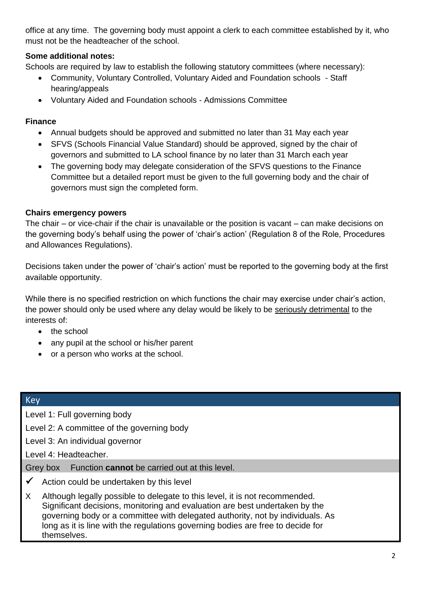office at any time. The governing body must appoint a clerk to each committee established by it, who must not be the headteacher of the school.

## **Some additional notes:**

Schools are required by law to establish the following statutory committees (where necessary):

- Community, Voluntary Controlled, Voluntary Aided and Foundation schools Staff hearing/appeals
- Voluntary Aided and Foundation schools Admissions Committee

#### **Finance**

- Annual budgets should be approved and submitted no later than 31 May each year
- SFVS (Schools Financial Value Standard) should be approved, signed by the chair of governors and submitted to LA school finance by no later than 31 March each year
- The governing body may delegate consideration of the SFVS questions to the Finance Committee but a detailed report must be given to the full governing body and the chair of governors must sign the completed form.

#### **Chairs emergency powers**

The chair – or vice-chair if the chair is unavailable or the position is vacant – can make decisions on the governing body's behalf using the power of 'chair's action' (Regulation 8 of the Role, Procedures and Allowances Regulations).

Decisions taken under the power of 'chair's action' must be reported to the governing body at the first available opportunity.

While there is no specified restriction on which functions the chair may exercise under chair's action, the power should only be used where any delay would be likely to be seriously detrimental to the interests of:

- the school
- any pupil at the school or his/her parent
- or a person who works at the school.

#### **Key**

Level 1: Full governing body

Level 2: A committee of the governing body

Level 3: An individual governor

Level 4: Headteacher.

Grey box Function **cannot** be carried out at this level.

- $\checkmark$  Action could be undertaken by this level
- X Although legally possible to delegate to this level, it is not recommended. Significant decisions, monitoring and evaluation are best undertaken by the governing body or a committee with delegated authority, not by individuals. As long as it is line with the regulations governing bodies are free to decide for themselves.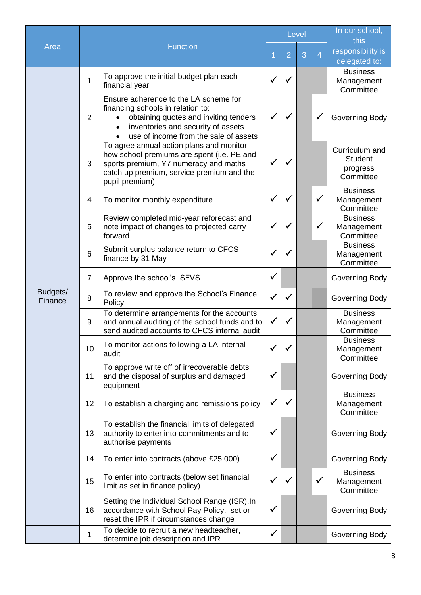|                     |                |                                                                                                                                                                                                    |              | Level          |   |                | In our school,<br>this                                    |
|---------------------|----------------|----------------------------------------------------------------------------------------------------------------------------------------------------------------------------------------------------|--------------|----------------|---|----------------|-----------------------------------------------------------|
| Area                |                | <b>Function</b>                                                                                                                                                                                    | 1            | $\overline{2}$ | 3 | $\overline{4}$ | responsibility is<br>delegated to:                        |
|                     | 1              | To approve the initial budget plan each<br>financial year                                                                                                                                          | $\checkmark$ | $\checkmark$   |   |                | <b>Business</b><br>Management<br>Committee                |
|                     | $\overline{2}$ | Ensure adherence to the LA scheme for<br>financing schools in relation to:<br>obtaining quotes and inviting tenders<br>inventories and security of assets<br>use of income from the sale of assets | $\checkmark$ | ✓              |   | $\checkmark$   | Governing Body                                            |
|                     | 3              | To agree annual action plans and monitor<br>how school premiums are spent (i.e. PE and<br>sports premium, Y7 numeracy and maths<br>catch up premium, service premium and the<br>pupil premium)     | $\checkmark$ | ✓              |   |                | Curriculum and<br><b>Student</b><br>progress<br>Committee |
|                     | $\overline{4}$ | To monitor monthly expenditure                                                                                                                                                                     | $\checkmark$ | $\checkmark$   |   | $\checkmark$   | <b>Business</b><br>Management<br>Committee                |
|                     | 5              | Review completed mid-year reforecast and<br>note impact of changes to projected carry<br>forward                                                                                                   | $\checkmark$ | ✓              |   | $\checkmark$   | <b>Business</b><br>Management<br>Committee                |
|                     | 6              | Submit surplus balance return to CFCS<br>finance by 31 May                                                                                                                                         | $\checkmark$ | $\checkmark$   |   |                | <b>Business</b><br>Management<br>Committee                |
|                     | $\overline{7}$ | Approve the school's SFVS                                                                                                                                                                          | $\checkmark$ |                |   |                | Governing Body                                            |
| Budgets/<br>Finance | 8              | To review and approve the School's Finance<br>Policy                                                                                                                                               | $\checkmark$ | $\checkmark$   |   |                | Governing Body                                            |
|                     | 9              | To determine arrangements for the accounts,<br>and annual auditing of the school funds and to<br>send audited accounts to CFCS internal audit                                                      | $\checkmark$ | ✓              |   |                | <b>Business</b><br>Management<br>Committee                |
|                     | 10             | To monitor actions following a LA internal<br>audit                                                                                                                                                | $\checkmark$ |                |   |                | <b>Business</b><br>Management<br>Committee                |
|                     | 11             | To approve write off of irrecoverable debts<br>and the disposal of surplus and damaged<br>equipment                                                                                                | $\checkmark$ |                |   |                | Governing Body                                            |
|                     | 12             | To establish a charging and remissions policy                                                                                                                                                      | $\checkmark$ | $\checkmark$   |   |                | <b>Business</b><br>Management<br>Committee                |
|                     | 13             | To establish the financial limits of delegated<br>authority to enter into commitments and to<br>authorise payments                                                                                 | ✓            |                |   |                | Governing Body                                            |
|                     | 14             | To enter into contracts (above £25,000)                                                                                                                                                            | $\checkmark$ |                |   |                | Governing Body                                            |
|                     | 15             | To enter into contracts (below set financial<br>limit as set in finance policy)                                                                                                                    | $\checkmark$ | ✓              |   | $\checkmark$   | <b>Business</b><br>Management<br>Committee                |
|                     | 16             | Setting the Individual School Range (ISR). In<br>accordance with School Pay Policy, set or<br>reset the IPR if circumstances change                                                                | $\checkmark$ |                |   |                | Governing Body                                            |
|                     | 1              | To decide to recruit a new headteacher,<br>determine job description and IPR                                                                                                                       | $\checkmark$ |                |   |                | Governing Body                                            |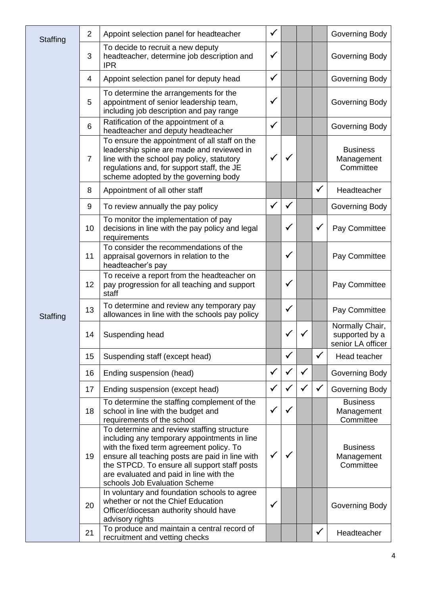| Staffing | $\overline{2}$ | Appoint selection panel for headteacher                                                                                                                                                                                                                                                                               | $\checkmark$ |              |              |              | Governing Body                                         |
|----------|----------------|-----------------------------------------------------------------------------------------------------------------------------------------------------------------------------------------------------------------------------------------------------------------------------------------------------------------------|--------------|--------------|--------------|--------------|--------------------------------------------------------|
|          | 3              | To decide to recruit a new deputy<br>headteacher, determine job description and<br><b>IPR</b>                                                                                                                                                                                                                         | $\checkmark$ |              |              |              | Governing Body                                         |
|          | 4              | Appoint selection panel for deputy head                                                                                                                                                                                                                                                                               | $\checkmark$ |              |              |              | Governing Body                                         |
|          | 5              | To determine the arrangements for the<br>appointment of senior leadership team,<br>including job description and pay range                                                                                                                                                                                            | $\checkmark$ |              |              |              | Governing Body                                         |
|          | 6              | Ratification of the appointment of a<br>headteacher and deputy headteacher                                                                                                                                                                                                                                            | $\checkmark$ |              |              |              | Governing Body                                         |
|          | $\overline{7}$ | To ensure the appointment of all staff on the<br>leadership spine are made and reviewed in<br>line with the school pay policy, statutory<br>regulations and, for support staff, the JE<br>scheme adopted by the governing body                                                                                        | $\checkmark$ |              |              |              | <b>Business</b><br>Management<br>Committee             |
|          | 8              | Appointment of all other staff                                                                                                                                                                                                                                                                                        |              |              |              | $\checkmark$ | Headteacher                                            |
|          | 9              | To review annually the pay policy                                                                                                                                                                                                                                                                                     | $\checkmark$ | $\checkmark$ |              |              | Governing Body                                         |
|          | 10             | To monitor the implementation of pay<br>decisions in line with the pay policy and legal<br>requirements                                                                                                                                                                                                               |              | $\checkmark$ |              | $\checkmark$ | Pay Committee                                          |
|          | 11             | To consider the recommendations of the<br>appraisal governors in relation to the<br>headteacher's pay                                                                                                                                                                                                                 |              | ✓            |              |              | Pay Committee                                          |
|          | 12             | To receive a report from the headteacher on<br>pay progression for all teaching and support<br>staff                                                                                                                                                                                                                  |              | $\checkmark$ |              |              | Pay Committee                                          |
| Staffing | 13             | To determine and review any temporary pay<br>allowances in line with the schools pay policy                                                                                                                                                                                                                           |              | $\checkmark$ |              |              | Pay Committee                                          |
|          | 14             | Suspending head                                                                                                                                                                                                                                                                                                       |              |              |              |              | Normally Chair,<br>supported by a<br>senior LA officer |
|          | 15             | Suspending staff (except head)                                                                                                                                                                                                                                                                                        |              | $\checkmark$ |              | $\checkmark$ | Head teacher                                           |
|          | 16             | Ending suspension (head)                                                                                                                                                                                                                                                                                              | $\checkmark$ | ✓            | $\checkmark$ |              | Governing Body                                         |
|          | 17             | Ending suspension (except head)                                                                                                                                                                                                                                                                                       | $\checkmark$ | $\checkmark$ | $\checkmark$ | $\checkmark$ | Governing Body                                         |
|          | 18             | To determine the staffing complement of the<br>school in line with the budget and<br>requirements of the school                                                                                                                                                                                                       | $\checkmark$ | ✓            |              |              | <b>Business</b><br>Management<br>Committee             |
|          | 19             | To determine and review staffing structure<br>including any temporary appointments in line<br>with the fixed term agreement policy. To<br>ensure all teaching posts are paid in line with<br>the STPCD. To ensure all support staff posts<br>are evaluated and paid in line with the<br>schools Job Evaluation Scheme | $\checkmark$ |              |              |              | <b>Business</b><br>Management<br>Committee             |
|          | 20             | In voluntary and foundation schools to agree<br>whether or not the Chief Education<br>Officer/diocesan authority should have<br>advisory rights                                                                                                                                                                       | $\checkmark$ |              |              |              | Governing Body                                         |
|          | 21             | To produce and maintain a central record of<br>recruitment and vetting checks                                                                                                                                                                                                                                         |              |              |              | $\checkmark$ | Headteacher                                            |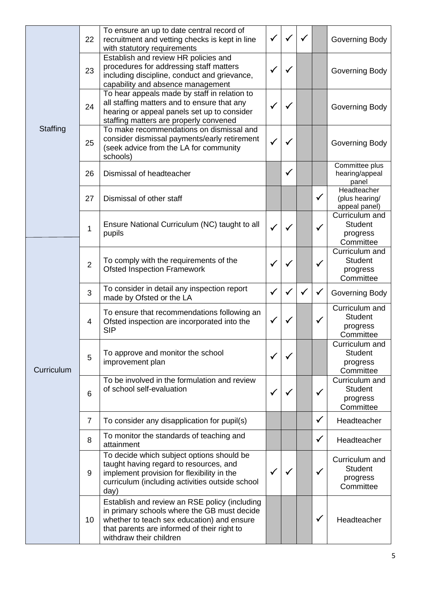|            | 22             | To ensure an up to date central record of<br>recruitment and vetting checks is kept in line<br>with statutory requirements                                                                                           | $\checkmark$ | ✓            | $\checkmark$ |              | Governing Body                                            |
|------------|----------------|----------------------------------------------------------------------------------------------------------------------------------------------------------------------------------------------------------------------|--------------|--------------|--------------|--------------|-----------------------------------------------------------|
|            | 23             | Establish and review HR policies and<br>procedures for addressing staff matters<br>including discipline, conduct and grievance,<br>capability and absence management                                                 | $\checkmark$ | ✓            |              |              | Governing Body                                            |
|            | 24             | To hear appeals made by staff in relation to<br>all staffing matters and to ensure that any<br>hearing or appeal panels set up to consider<br>staffing matters are properly convened                                 | $\checkmark$ | ✓            |              |              | Governing Body                                            |
| Staffing   | 25             | To make recommendations on dismissal and<br>consider dismissal payments/early retirement<br>(seek advice from the LA for community<br>schools)                                                                       | $\checkmark$ | ✓            |              |              | Governing Body                                            |
|            | 26             | Dismissal of headteacher                                                                                                                                                                                             |              | $\checkmark$ |              |              | Committee plus<br>hearing/appeal<br>panel                 |
|            | 27             | Dismissal of other staff                                                                                                                                                                                             |              |              |              | $\checkmark$ | Headteacher<br>(plus hearing/<br>appeal panel)            |
|            | 1              | Ensure National Curriculum (NC) taught to all<br>pupils                                                                                                                                                              | $\checkmark$ | $\checkmark$ |              | $\checkmark$ | Curriculum and<br><b>Student</b><br>progress<br>Committee |
|            | $\overline{2}$ | To comply with the requirements of the<br><b>Ofsted Inspection Framework</b>                                                                                                                                         | $\checkmark$ | $\checkmark$ |              | √            | Curriculum and<br><b>Student</b><br>progress<br>Committee |
|            | 3              | To consider in detail any inspection report<br>made by Ofsted or the LA                                                                                                                                              | $\checkmark$ | $\checkmark$ | $\checkmark$ | √            | Governing Body                                            |
|            | 4              | To ensure that recommendations following an<br>Ofsted inspection are incorporated into the<br><b>SIP</b>                                                                                                             | $\checkmark$ | ✓            |              | $\checkmark$ | Curriculum and<br><b>Student</b><br>progress<br>Committee |
| Curriculum | 5              | To approve and monitor the school<br>improvement plan                                                                                                                                                                | $\checkmark$ | $\checkmark$ |              |              | Curriculum and<br><b>Student</b><br>progress<br>Committee |
|            | 6              | To be involved in the formulation and review<br>of school self-evaluation                                                                                                                                            | $\checkmark$ | $\checkmark$ |              | $\checkmark$ | Curriculum and<br><b>Student</b><br>progress<br>Committee |
|            | $\overline{7}$ | To consider any disapplication for pupil(s)                                                                                                                                                                          |              |              |              | $\checkmark$ | Headteacher                                               |
|            | 8              | To monitor the standards of teaching and<br>attainment                                                                                                                                                               |              |              |              | $\checkmark$ | Headteacher                                               |
|            | 9              | To decide which subject options should be<br>taught having regard to resources, and<br>implement provision for flexibility in the<br>curriculum (including activities outside school<br>day)                         | $\checkmark$ | $\checkmark$ |              | $\checkmark$ | Curriculum and<br><b>Student</b><br>progress<br>Committee |
|            | 10             | Establish and review an RSE policy (including<br>in primary schools where the GB must decide<br>whether to teach sex education) and ensure<br>that parents are informed of their right to<br>withdraw their children |              |              |              | $\checkmark$ | Headteacher                                               |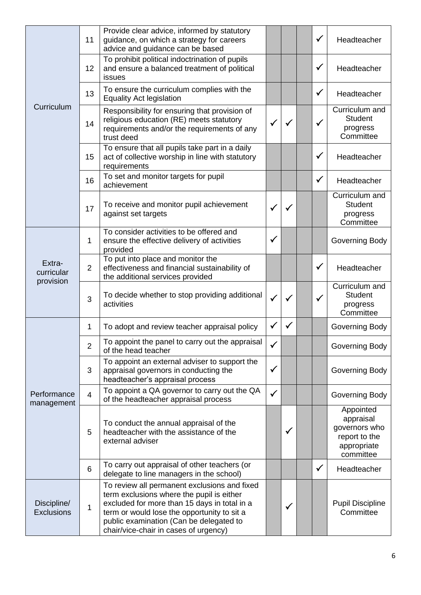|                                  | 11             | Provide clear advice, informed by statutory<br>guidance, on which a strategy for careers<br>advice and guidance can be based                                                                                                                                                 |              |              | ✓            | Headteacher                                                                          |
|----------------------------------|----------------|------------------------------------------------------------------------------------------------------------------------------------------------------------------------------------------------------------------------------------------------------------------------------|--------------|--------------|--------------|--------------------------------------------------------------------------------------|
|                                  | 12             | To prohibit political indoctrination of pupils<br>and ensure a balanced treatment of political<br>issues                                                                                                                                                                     |              |              | $\checkmark$ | Headteacher                                                                          |
|                                  | 13             | To ensure the curriculum complies with the<br><b>Equality Act legislation</b>                                                                                                                                                                                                |              |              | $\checkmark$ | Headteacher                                                                          |
| Curriculum                       | 14             | Responsibility for ensuring that provision of<br>religious education (RE) meets statutory<br>requirements and/or the requirements of any<br>trust deed                                                                                                                       | $\checkmark$ | $\checkmark$ | $\checkmark$ | Curriculum and<br><b>Student</b><br>progress<br>Committee                            |
|                                  | 15             | To ensure that all pupils take part in a daily<br>act of collective worship in line with statutory<br>requirements                                                                                                                                                           |              |              | $\checkmark$ | Headteacher                                                                          |
|                                  | 16             | To set and monitor targets for pupil<br>achievement                                                                                                                                                                                                                          |              |              | $\checkmark$ | Headteacher                                                                          |
|                                  | 17             | To receive and monitor pupil achievement<br>against set targets                                                                                                                                                                                                              | $\checkmark$ | $\checkmark$ |              | Curriculum and<br><b>Student</b><br>progress<br>Committee                            |
|                                  | 1              | To consider activities to be offered and<br>ensure the effective delivery of activities<br>provided                                                                                                                                                                          | $\checkmark$ |              |              | Governing Body                                                                       |
| Extra-<br>curricular             | $\overline{2}$ | To put into place and monitor the<br>effectiveness and financial sustainability of<br>the additional services provided                                                                                                                                                       |              |              | $\checkmark$ | Headteacher                                                                          |
| provision                        | 3              | To decide whether to stop providing additional<br>activities                                                                                                                                                                                                                 | $\checkmark$ | $\checkmark$ | $\checkmark$ | Curriculum and<br><b>Student</b><br>progress<br>Committee                            |
|                                  | 1              | To adopt and review teacher appraisal policy                                                                                                                                                                                                                                 | $\checkmark$ | $\checkmark$ |              | Governing Body                                                                       |
|                                  | $\overline{2}$ | To appoint the panel to carry out the appraisal<br>of the head teacher                                                                                                                                                                                                       | $\checkmark$ |              |              | Governing Body                                                                       |
|                                  | 3              | To appoint an external adviser to support the<br>appraisal governors in conducting the<br>headteacher's appraisal process                                                                                                                                                    | $\checkmark$ |              |              | Governing Body                                                                       |
| Performance<br>management        | $\overline{4}$ | To appoint a QA governor to carry out the QA<br>of the headteacher appraisal process                                                                                                                                                                                         | $\checkmark$ |              |              | Governing Body                                                                       |
|                                  | 5              | To conduct the annual appraisal of the<br>headteacher with the assistance of the<br>external adviser                                                                                                                                                                         |              | $\checkmark$ |              | Appointed<br>appraisal<br>governors who<br>report to the<br>appropriate<br>committee |
|                                  | 6              | To carry out appraisal of other teachers (or<br>delegate to line managers in the school)                                                                                                                                                                                     |              |              | $\checkmark$ | Headteacher                                                                          |
| Discipline/<br><b>Exclusions</b> | 1              | To review all permanent exclusions and fixed<br>term exclusions where the pupil is either<br>excluded for more than 15 days in total in a<br>term or would lose the opportunity to sit a<br>public examination (Can be delegated to<br>chair/vice-chair in cases of urgency) |              | ✓            |              | <b>Pupil Discipline</b><br>Committee                                                 |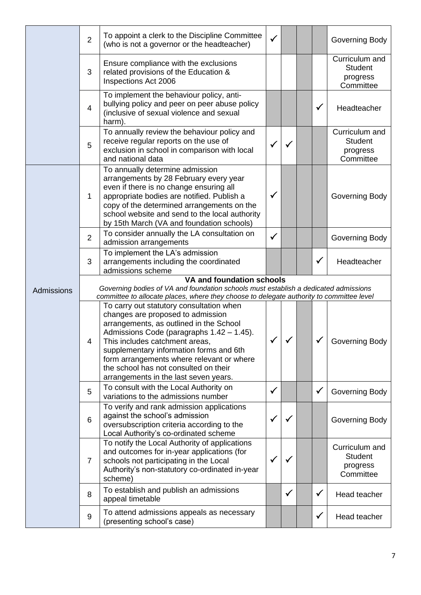|            | $\overline{2}$                                                                                                   | To appoint a clerk to the Discipline Committee<br>(who is not a governor or the headteacher)                                                                                                                                                                                                                                                                                     | $\checkmark$ |              |  |              | Governing Body                                            |  |  |  |
|------------|------------------------------------------------------------------------------------------------------------------|----------------------------------------------------------------------------------------------------------------------------------------------------------------------------------------------------------------------------------------------------------------------------------------------------------------------------------------------------------------------------------|--------------|--------------|--|--------------|-----------------------------------------------------------|--|--|--|
|            | 3                                                                                                                | Ensure compliance with the exclusions<br>related provisions of the Education &<br>Inspections Act 2006                                                                                                                                                                                                                                                                           |              |              |  |              | Curriculum and<br><b>Student</b><br>progress<br>Committee |  |  |  |
|            | $\overline{4}$                                                                                                   | To implement the behaviour policy, anti-<br>bullying policy and peer on peer abuse policy<br>(inclusive of sexual violence and sexual<br>harm).                                                                                                                                                                                                                                  |              |              |  | $\checkmark$ | Headteacher                                               |  |  |  |
|            | 5                                                                                                                | To annually review the behaviour policy and<br>receive regular reports on the use of<br>exclusion in school in comparison with local<br>and national data                                                                                                                                                                                                                        | $\checkmark$ | $\checkmark$ |  |              | Curriculum and<br><b>Student</b><br>progress<br>Committee |  |  |  |
|            | 1                                                                                                                | To annually determine admission<br>arrangements by 28 February every year<br>even if there is no change ensuring all<br>appropriate bodies are notified. Publish a<br>copy of the determined arrangements on the<br>school website and send to the local authority<br>by 15th March (VA and foundation schools)                                                                  | $\checkmark$ |              |  |              | Governing Body                                            |  |  |  |
|            | $\overline{2}$                                                                                                   | To consider annually the LA consultation on<br>admission arrangements                                                                                                                                                                                                                                                                                                            | $\checkmark$ |              |  |              | Governing Body                                            |  |  |  |
|            | 3                                                                                                                | To implement the LA's admission<br>arrangements including the coordinated<br>admissions scheme                                                                                                                                                                                                                                                                                   |              |              |  | $\checkmark$ | Headteacher                                               |  |  |  |
|            | VA and foundation schools<br>Governing bodies of VA and foundation schools must establish a dedicated admissions |                                                                                                                                                                                                                                                                                                                                                                                  |              |              |  |              |                                                           |  |  |  |
| Admissions |                                                                                                                  | committee to allocate places, where they choose to delegate authority to committee level                                                                                                                                                                                                                                                                                         |              |              |  |              |                                                           |  |  |  |
|            | 4                                                                                                                | To carry out statutory consultation when<br>changes are proposed to admission<br>arrangements, as outlined in the School<br>Admissions Code (paragraphs 1.42 - 1.45).<br>This includes catchment areas<br>supplementary information forms and 6th<br>form arrangements where relevant or where<br>the school has not consulted on their<br>arrangements in the last seven years. |              | $\checkmark$ |  |              | Governing Body                                            |  |  |  |
|            | 5                                                                                                                | To consult with the Local Authority on<br>variations to the admissions number                                                                                                                                                                                                                                                                                                    | $\checkmark$ |              |  | $\checkmark$ | Governing Body                                            |  |  |  |
|            | $6\phantom{1}6$                                                                                                  | To verify and rank admission applications<br>against the school's admission<br>oversubscription criteria according to the<br>Local Authority's co-ordinated scheme                                                                                                                                                                                                               | $\checkmark$ | $\checkmark$ |  |              | Governing Body                                            |  |  |  |
|            | $\overline{7}$                                                                                                   | To notify the Local Authority of applications<br>and outcomes for in-year applications (for<br>schools not participating in the Local<br>Authority's non-statutory co-ordinated in-year<br>scheme)                                                                                                                                                                               | $\checkmark$ | ✓            |  |              | Curriculum and<br><b>Student</b><br>progress<br>Committee |  |  |  |
|            | 8                                                                                                                | To establish and publish an admissions<br>appeal timetable                                                                                                                                                                                                                                                                                                                       |              | $\checkmark$ |  | $\checkmark$ | Head teacher                                              |  |  |  |
|            | 9                                                                                                                | To attend admissions appeals as necessary<br>(presenting school's case)                                                                                                                                                                                                                                                                                                          |              |              |  | $\checkmark$ | Head teacher                                              |  |  |  |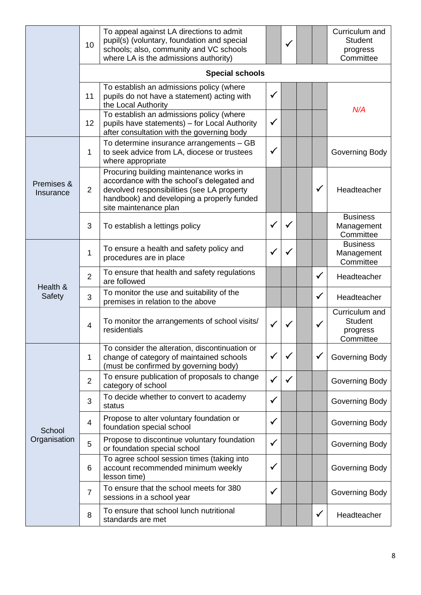|                         | 10                     | To appeal against LA directions to admit<br>pupil(s) (voluntary, foundation and special<br>schools; also, community and VC schools<br>where LA is the admissions authority)                                |              | ✓            |  |              | Curriculum and<br><b>Student</b><br>progress<br>Committee |  |  |  |  |
|-------------------------|------------------------|------------------------------------------------------------------------------------------------------------------------------------------------------------------------------------------------------------|--------------|--------------|--|--------------|-----------------------------------------------------------|--|--|--|--|
|                         | <b>Special schools</b> |                                                                                                                                                                                                            |              |              |  |              |                                                           |  |  |  |  |
|                         | 11                     | To establish an admissions policy (where<br>pupils do not have a statement) acting with<br>the Local Authority                                                                                             | $\checkmark$ |              |  |              | N/A                                                       |  |  |  |  |
|                         | 12                     | To establish an admissions policy (where<br>pupils have statements) - for Local Authority<br>after consultation with the governing body                                                                    | $\checkmark$ |              |  |              |                                                           |  |  |  |  |
|                         | 1                      | To determine insurance arrangements - GB<br>to seek advice from LA, diocese or trustees<br>where appropriate                                                                                               | $\checkmark$ |              |  |              | Governing Body                                            |  |  |  |  |
| Premises &<br>Insurance | $\overline{2}$         | Procuring building maintenance works in<br>accordance with the school's delegated and<br>devolved responsibilities (see LA property<br>handbook) and developing a properly funded<br>site maintenance plan |              |              |  | $\checkmark$ | Headteacher                                               |  |  |  |  |
|                         | 3                      | To establish a lettings policy                                                                                                                                                                             | $\checkmark$ | $\checkmark$ |  |              | <b>Business</b><br>Management<br>Committee                |  |  |  |  |
|                         | 1                      | To ensure a health and safety policy and<br>procedures are in place                                                                                                                                        | $\checkmark$ | $\checkmark$ |  |              | <b>Business</b><br>Management<br>Committee                |  |  |  |  |
| Health &                | $\overline{2}$         | To ensure that health and safety regulations<br>are followed                                                                                                                                               |              |              |  | $\checkmark$ | Headteacher                                               |  |  |  |  |
| Safety                  | 3                      | To monitor the use and suitability of the<br>premises in relation to the above                                                                                                                             |              |              |  | $\checkmark$ | Headteacher                                               |  |  |  |  |
|                         | $\overline{4}$         | To monitor the arrangements of school visits/<br>residentials                                                                                                                                              | $\checkmark$ | $\checkmark$ |  | $\checkmark$ | Curriculum and<br><b>Student</b><br>progress<br>Committee |  |  |  |  |
|                         | 1                      | To consider the alteration, discontinuation or<br>change of category of maintained schools<br>(must be confirmed by governing body)                                                                        | $\checkmark$ | $\checkmark$ |  | $\checkmark$ | Governing Body                                            |  |  |  |  |
|                         | $\overline{2}$         | To ensure publication of proposals to change<br>category of school                                                                                                                                         | $\checkmark$ | $\checkmark$ |  |              | Governing Body                                            |  |  |  |  |
|                         | 3                      | To decide whether to convert to academy<br>status                                                                                                                                                          | $\checkmark$ |              |  |              | Governing Body                                            |  |  |  |  |
| School                  | $\overline{4}$         | Propose to alter voluntary foundation or<br>foundation special school                                                                                                                                      | $\checkmark$ |              |  |              | Governing Body                                            |  |  |  |  |
| Organisation            | 5                      | Propose to discontinue voluntary foundation<br>or foundation special school                                                                                                                                | $\checkmark$ |              |  |              | Governing Body                                            |  |  |  |  |
|                         | 6                      | To agree school session times (taking into<br>account recommended minimum weekly<br>lesson time)                                                                                                           | $\checkmark$ |              |  |              | Governing Body                                            |  |  |  |  |
|                         | $\overline{7}$         | To ensure that the school meets for 380<br>sessions in a school year                                                                                                                                       | $\checkmark$ |              |  |              | Governing Body                                            |  |  |  |  |
|                         | 8                      | To ensure that school lunch nutritional<br>standards are met                                                                                                                                               |              |              |  | $\checkmark$ | Headteacher                                               |  |  |  |  |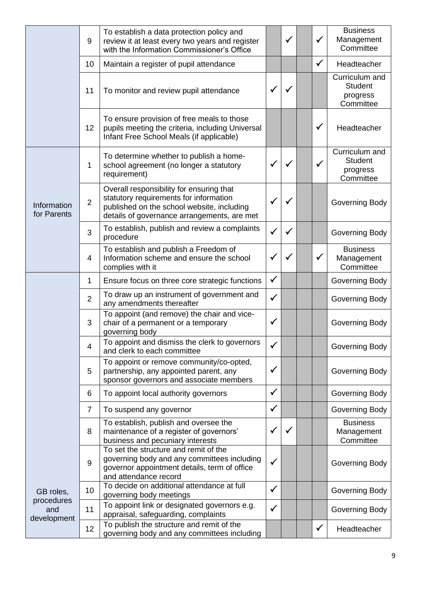|                                  | 9              | To establish a data protection policy and<br>review it at least every two years and register<br>with the Information Commissioner's Office                                      |              | $\checkmark$ | $\checkmark$ | <b>Business</b><br>Management<br>Committee                |
|----------------------------------|----------------|---------------------------------------------------------------------------------------------------------------------------------------------------------------------------------|--------------|--------------|--------------|-----------------------------------------------------------|
|                                  | 10             | Maintain a register of pupil attendance                                                                                                                                         |              |              | $\checkmark$ | Headteacher                                               |
|                                  | 11             | To monitor and review pupil attendance                                                                                                                                          | $\checkmark$ | ✓            |              | Curriculum and<br><b>Student</b><br>progress<br>Committee |
|                                  | 12             | To ensure provision of free meals to those<br>pupils meeting the criteria, including Universal<br>Infant Free School Meals (if applicable)                                      |              |              | $\checkmark$ | Headteacher                                               |
|                                  | 1              | To determine whether to publish a home-<br>school agreement (no longer a statutory<br>requirement)                                                                              | $\checkmark$ | $\checkmark$ | $\checkmark$ | Curriculum and<br><b>Student</b><br>progress<br>Committee |
| Information<br>for Parents       | $\overline{2}$ | Overall responsibility for ensuring that<br>statutory requirements for information<br>published on the school website, including<br>details of governance arrangements, are met | $\checkmark$ |              |              | Governing Body                                            |
|                                  | 3              | To establish, publish and review a complaints<br>procedure                                                                                                                      | $\checkmark$ | ✓            |              | Governing Body                                            |
|                                  | 4              | To establish and publish a Freedom of<br>Information scheme and ensure the school<br>complies with it                                                                           | $\checkmark$ | $\checkmark$ | $\checkmark$ | <b>Business</b><br>Management<br>Committee                |
|                                  | 1              | Ensure focus on three core strategic functions                                                                                                                                  | $\checkmark$ |              |              | Governing Body                                            |
|                                  | $\overline{2}$ | To draw up an instrument of government and<br>any amendments thereafter                                                                                                         | $\checkmark$ |              |              | Governing Body                                            |
|                                  | 3              | To appoint (and remove) the chair and vice-<br>chair of a permanent or a temporary<br>governing body                                                                            | $\checkmark$ |              |              | Governing Body                                            |
|                                  | 4              | To appoint and dismiss the clerk to governors<br>and clerk to each committee                                                                                                    | $\checkmark$ |              |              | Governing Body                                            |
|                                  | 5              | To appoint or remove community/co-opted,<br>partnership, any appointed parent, any<br>sponsor governors and associate members                                                   | $\checkmark$ |              |              | Governing Body                                            |
|                                  | 6              | To appoint local authority governors                                                                                                                                            | $\checkmark$ |              |              | Governing Body                                            |
|                                  | $\overline{7}$ | To suspend any governor                                                                                                                                                         | $\checkmark$ |              |              | Governing Body                                            |
|                                  | 8              | To establish, publish and oversee the<br>maintenance of a register of governors'<br>business and pecuniary interests                                                            | $\checkmark$ | $\checkmark$ |              | <b>Business</b><br>Management<br>Committee                |
|                                  | 9              | To set the structure and remit of the<br>governing body and any committees including<br>governor appointment details, term of office<br>and attendance record                   | $\checkmark$ |              |              | Governing Body                                            |
| GB roles,                        | 10             | To decide on additional attendance at full<br>governing body meetings                                                                                                           | $\checkmark$ |              |              | Governing Body                                            |
| procedures<br>and<br>development | 11             | To appoint link or designated governors e.g.<br>appraisal, safeguarding, complaints                                                                                             | $\checkmark$ |              |              | Governing Body                                            |
|                                  | 12             | To publish the structure and remit of the<br>governing body and any committees including                                                                                        |              |              | $\checkmark$ | Headteacher                                               |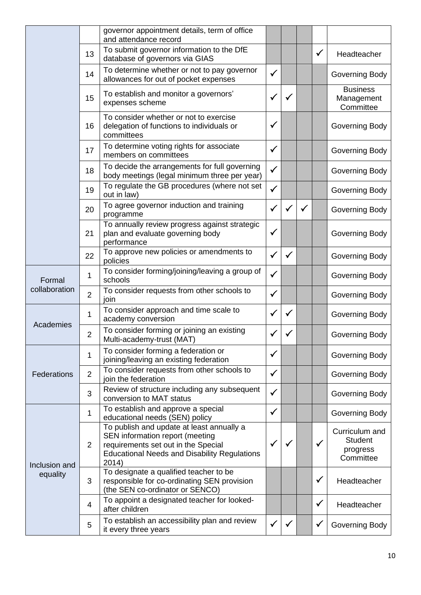|               |                | governor appointment details, term of office<br>and attendance record                                                                                                               |              |              |              |              |                                                           |
|---------------|----------------|-------------------------------------------------------------------------------------------------------------------------------------------------------------------------------------|--------------|--------------|--------------|--------------|-----------------------------------------------------------|
|               | 13             | To submit governor information to the DfE<br>database of governors via GIAS                                                                                                         |              |              |              | $\checkmark$ | Headteacher                                               |
|               | 14             | To determine whether or not to pay governor<br>allowances for out of pocket expenses                                                                                                | $\checkmark$ |              |              |              | Governing Body                                            |
|               | 15             | To establish and monitor a governors'<br>expenses scheme                                                                                                                            | $\checkmark$ | $\checkmark$ |              |              | <b>Business</b><br>Management<br>Committee                |
|               | 16             | To consider whether or not to exercise<br>delegation of functions to individuals or<br>committees                                                                                   | $\checkmark$ |              |              |              | Governing Body                                            |
|               | 17             | To determine voting rights for associate<br>members on committees                                                                                                                   | $\checkmark$ |              |              |              | Governing Body                                            |
|               | 18             | To decide the arrangements for full governing<br>body meetings (legal minimum three per year)                                                                                       | $\checkmark$ |              |              |              | Governing Body                                            |
|               | 19             | To regulate the GB procedures (where not set<br>out in law)                                                                                                                         | $\checkmark$ |              |              |              | Governing Body                                            |
|               | 20             | To agree governor induction and training<br>programme                                                                                                                               | $\checkmark$ | $\checkmark$ | $\checkmark$ |              | Governing Body                                            |
|               | 21             | To annually review progress against strategic<br>plan and evaluate governing body<br>performance                                                                                    | $\checkmark$ |              |              |              | Governing Body                                            |
|               | 22             | To approve new policies or amendments to<br>policies                                                                                                                                | $\checkmark$ | $\checkmark$ |              |              | Governing Body                                            |
| Formal        | 1              | To consider forming/joining/leaving a group of<br>schools                                                                                                                           | $\checkmark$ |              |              |              | Governing Body                                            |
| collaboration | $\overline{2}$ | To consider requests from other schools to<br>join                                                                                                                                  | $\checkmark$ |              |              |              | Governing Body                                            |
| Academies     | 1              | To consider approach and time scale to<br>academy conversion                                                                                                                        | $\checkmark$ | $\checkmark$ |              |              | Governing Body                                            |
|               | $\overline{2}$ | To consider forming or joining an existing<br>Multi-academy-trust (MAT)                                                                                                             | $\checkmark$ |              |              |              | Governing Body                                            |
|               | 1              | To consider forming a federation or<br>joining/leaving an existing federation                                                                                                       | $\checkmark$ |              |              |              | Governing Body                                            |
| Federations   | $\overline{2}$ | To consider requests from other schools to<br>join the federation                                                                                                                   | $\checkmark$ |              |              |              | Governing Body                                            |
|               | 3              | Review of structure including any subsequent<br>conversion to MAT status                                                                                                            | $\checkmark$ |              |              |              | Governing Body                                            |
|               | 1              | To establish and approve a special<br>educational needs (SEN) policy                                                                                                                | $\checkmark$ |              |              |              | Governing Body                                            |
| Inclusion and | $\overline{2}$ | To publish and update at least annually a<br>SEN information report (meeting<br>requirements set out in the Special<br><b>Educational Needs and Disability Regulations</b><br>2014) | $\checkmark$ | $\checkmark$ |              | $\checkmark$ | Curriculum and<br><b>Student</b><br>progress<br>Committee |
| equality      | 3              | To designate a qualified teacher to be<br>responsible for co-ordinating SEN provision<br>(the SEN co-ordinator or SENCO)                                                            |              |              |              | $\checkmark$ | Headteacher                                               |
|               | $\overline{4}$ | To appoint a designated teacher for looked-<br>after children                                                                                                                       |              |              |              | $\checkmark$ | Headteacher                                               |
|               | 5              | To establish an accessibility plan and review<br>it every three years                                                                                                               | $\checkmark$ |              |              | $\checkmark$ | Governing Body                                            |